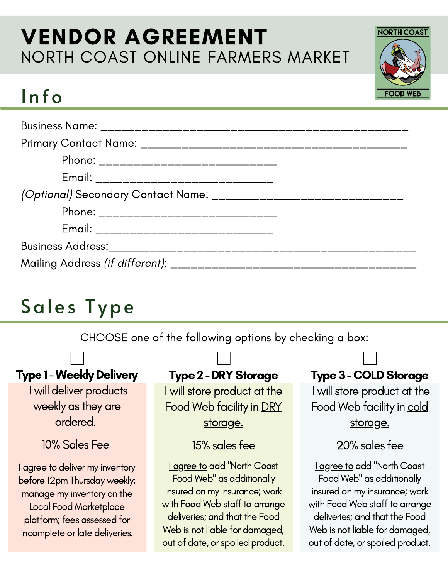## VENDOR AGREEMENT NORTH COAST ONLINE FARMERS MARKET

# Info

| Phone: _______________________________                                 |  |
|------------------------------------------------------------------------|--|
| Email: __________________________________                              |  |
| (Optional) Secondary Contact Name: ___________________________________ |  |
| Phone: ________________________________                                |  |
| Email: __________________________________                              |  |
|                                                                        |  |
|                                                                        |  |

# Sales Type

CHOOSE one of the following options by checking a box:

### **Type 1 - Weekly Delivery**

I will deliver products weekly as they are ordered.

### 10% Sales Fee

**I agree to deliver my inventory** before 12pm Thursday weekly; manage my inventory on the Local Food Marketplace platform; fees assessed for incomplete or late deliveries.

#### **Type 2 - DRY Storage**

I will store product at the Food Web facility in DRY storage.

#### 15% sales fee

I agree to add "North Coast Food Web" as additionally insured on my insurance; work with Food Web staff to arrange deliveries; and that the Food Web is not liable for damaged, out of date, or spoiled product.

### **Type 3 - COLD Storage**

**NORTH COAST** 

**FOOD** 

I will store product at the Food Web facility in cold storage.

20% sales fee

I agree to add "North Coast Food Web" as additionally insured on my insurance; work with Food Web staff to arrange deliveries; and that the Food Web is not liable for damaged, out of date, or spoiled product.